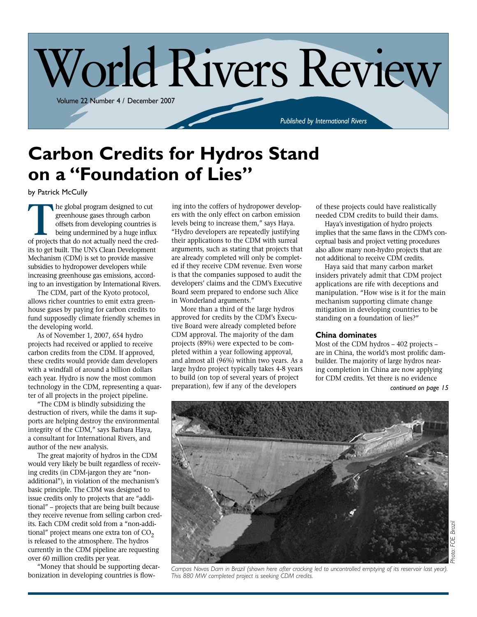

## **Carbon Credits for Hydros Stand on a "Foundation of Lies"**

by Patrick McCully

**THE SECONDE EXECUTE ASSEMBED ASSEMBED ASSESS** that do not actually need the cred-<br>of projects that do not actually need the credgreenhouse gases through carbon offsets from developing countries is being undermined by a huge influx its to get built. The UN's Clean Development Mechanism (CDM) is set to provide massive subsidies to hydropower developers while increasing greenhouse gas emissions, according to an investigation by International Rivers.

The CDM, part of the Kyoto protocol, allows richer countries to emit extra greenhouse gases by paying for carbon credits to fund supposedly climate friendly schemes in the developing world.

As of November 1, 2007, 654 hydro projects had received or applied to receive carbon credits from the CDM. If approved, these credits would provide dam developers with a windfall of around a billion dollars each year. Hydro is now the most common technology in the CDM, representing a quarter of all projects in the project pipeline.

"The CDM is blindly subsidizing the destruction of rivers, while the dams it supports are helping destroy the environmental integrity of the CDM," says Barbara Haya, a consultant for International Rivers, and author of the new analysis.

The great majority of hydros in the CDM would very likely be built regardless of receiving credits (in CDM-jargon they are "nonadditional"), in violation of the mechanism's basic principle. The CDM was designed to issue credits only to projects that are "additional" – projects that are being built because they receive revenue from selling carbon credits. Each CDM credit sold from a "non-additional" project means one extra ton of  $CO<sub>2</sub>$ is released to the atmosphere. The hydros currently in the CDM pipeline are requesting over 60 million credits per year.

"Money that should be supporting decarbonization in developing countries is flowing into the coffers of hydropower developers with the only effect on carbon emission levels being to increase them," says Haya. "Hydro developers are repeatedly justifying their applications to the CDM with surreal arguments, such as stating that projects that are already completed will only be completed if they receive CDM revenue. Even worse is that the companies supposed to audit the developers' claims and the CDM's Executive Board seem prepared to endorse such Alice in Wonderland arguments."

More than a third of the large hydros approved for credits by the CDM's Executive Board were already completed before CDM approval. The majority of the dam projects (89%) were expected to be completed within a year following approval, and almost all (96%) within two years. As a large hydro project typically takes 4-8 years to build (on top of several years of project preparation), few if any of the developers *continued on page 15*

of these projects could have realistically needed CDM credits to build their dams.

Haya's investigation of hydro projects implies that the same flaws in the CDM's conceptual basis and project vetting procedures also allow many non-hydro projects that are not additional to receive CDM credits.

Haya said that many carbon market insiders privately admit that CDM project applications are rife with deceptions and manipulation. "How wise is it for the main mechanism supporting climate change mitigation in developing countries to be standing on a foundation of lies?"

#### **China dominates**

Most of the CDM hydros – 402 projects – are in China, the world's most prolific dambuilder. The majority of large hydros nearing completion in China are now applying for CDM credits. Yet there is no evidence



*Photo: FOE Brazil*Photo: FOE

Campos Novos Dam in Brazil (shown here after cracking led to uncontrolled emptying of its reservoir last year). *This 880 MW completed project is seeking CDM credits.*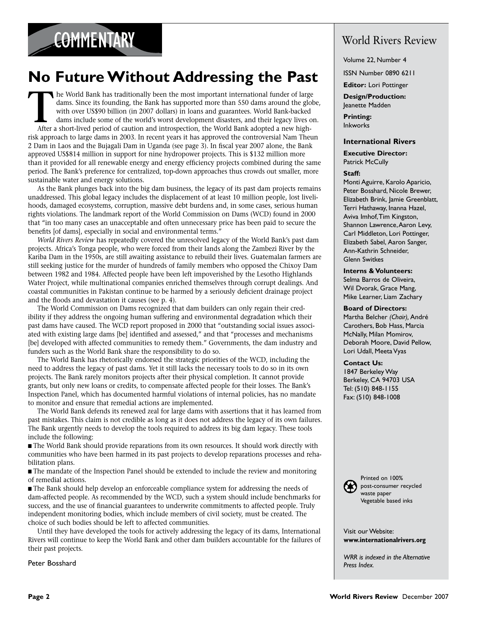### **No Future Without Addressing the Past**

The World Bank has traditionally been the most important international funder of large dams. Since its founding, the Bank has supported more than 550 dams around the globe with over US\$90 billion (in 2007 dollars) in loans dams. Since its founding, the Bank has supported more than 550 dams around the globe, with over US\$90 billion (in 2007 dollars) in loans and guarantees. World Bank-backed dams include some of the world's worst development disasters, and their legacy lives on. After a short-lived period of caution and introspection, the World Bank adopted a new highrisk approach to large dams in 2003. In recent years it has approved the controversial Nam Theun 2 Dam in Laos and the Bujagali Dam in Uganda (see page 3). In fiscal year 2007 alone, the Bank approved US\$814 million in support for nine hydropower projects. This is \$132 million more than it provided for all renewable energy and energy efficiency projects combined during the same period. The Bank's preference for centralized, top-down approaches thus crowds out smaller, more sustainable water and energy solutions.

As the Bank plunges back into the big dam business, the legacy of its past dam projects remains unaddressed. This global legacy includes the displacement of at least 10 million people, lost livelihoods, damaged ecosystems, corruption, massive debt burdens and, in some cases, serious human rights violations. The landmark report of the World Commission on Dams (WCD) found in 2000 that "in too many cases an unacceptable and often unnecessary price has been paid to secure the benefits [of dams], especially in social and environmental terms."

*World Rivers Review* has repeatedly covered the unresolved legacy of the World Bank's past dam projects. Africa's Tonga people, who were forced from their lands along the Zambezi River by the Kariba Dam in the 1950s, are still awaiting assistance to rebuild their lives. Guatemalan farmers are still seeking justice for the murder of hundreds of family members who opposed the Chixoy Dam between 1982 and 1984. Affected people have been left impoverished by the Lesotho Highlands Water Project, while multinational companies enriched themselves through corrupt dealings. And coastal communities in Pakistan continue to be harmed by a seriously deficient drainage project and the floods and devastation it causes (see p. 4).

The World Commission on Dams recognized that dam builders can only regain their credibility if they address the ongoing human suffering and environmental degradation which their past dams have caused. The WCD report proposed in 2000 that "outstanding social issues associated with existing large dams [be] identified and assessed," and that "processes and mechanisms [be] developed with affected communities to remedy them." Governments, the dam industry and funders such as the World Bank share the responsibility to do so.

The World Bank has rhetorically endorsed the strategic priorities of the WCD, including the need to address the legacy of past dams. Yet it still lacks the necessary tools to do so in its own projects. The Bank rarely monitors projects after their physical completion. It cannot provide grants, but only new loans or credits, to compensate affected people for their losses. The Bank's Inspection Panel, which has documented harmful violations of internal policies, has no mandate to monitor and ensure that remedial actions are implemented.

The World Bank defends its renewed zeal for large dams with assertions that it has learned from past mistakes. This claim is not credible as long as it does not address the legacy of its own failures. The Bank urgently needs to develop the tools required to address its big dam legacy. These tools include the following:

n The World Bank should provide reparations from its own resources. It should work directly with communities who have been harmed in its past projects to develop reparations processes and rehabilitation plans.

 $\blacksquare$  The mandate of the Inspection Panel should be extended to include the review and monitoring of remedial actions.

n The Bank should help develop an enforceable compliance system for addressing the needs of dam-affected people. As recommended by the WCD, such a system should include benchmarks for success, and the use of financial guarantees to underwrite commitments to affected people. Truly independent monitoring bodies, which include members of civil society, must be created. The choice of such bodies should be left to affected communities.

Until they have developed the tools for actively addressing the legacy of its dams, International Rivers will continue to keep the World Bank and other dam builders accountable for the failures of their past projects.

Peter Bosshard

### World Rivers Review

Volume 22, Number 4

ISSN Number 0890 6211

**Editor:** Lori Pottinger

**Design/Production:** Jeanette Madden

**Printing:** Inkworks

#### **International Rivers**

**Executive Director:** Patrick McCully

#### **Staff:**

Monti Aguirre, Karolo Aparicio, Peter Bosshard, Nicole Brewer, Elizabeth Brink, Jamie Greenblatt, Terri Hathaway, Inanna Hazel, Aviva Imhof, Tim Kingston, Shannon Lawrence, Aaron Levy, Carl Middleton, Lori Pottinger, Elizabeth Sabel, Aaron Sanger, Ann-Kathrin Schneider, Glenn Switkes

**Interns & Volunteers:** 

Selma Barros de Oliveira, Wil Dvorak, Grace Mang, Mike Learner, Liam Zachary

#### **Board of Directors:**

Martha Belcher *(Chair),* André Carothers, Bob Hass, Marcia McNally, Milan Momirov, Deborah Moore, David Pellow, Lori Udall, Meeta Vyas

#### **Contact Us:**

1847 Berkeley Way Berkeley, CA 94703 USA Tel: (510) 848-1155 Fax: (510) 848-1008



Printed on 100% post-consumer recycled waste paper Vegetable based inks

Visit our Website: **www.internationalrivers.org**

*WRR is indexed in the Alternative Press Index.*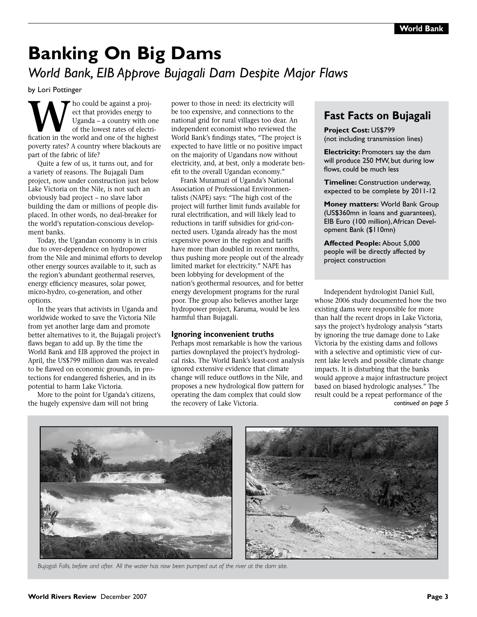### **Banking On Big Dams** *World Bank, EIB Approve Bujagali Dam Despite Major Flaws*

by Lori Pottinger

**W**ho could be against a project that provides energy to Uganda – a country with one of the lowest rates of electrification in the world and one of the highest ect that provides energy to Uganda – a country with one of the lowest rates of electripoverty rates? A country where blackouts are part of the fabric of life?

Quite a few of us, it turns out, and for a variety of reasons. The Bujagali Dam project, now under construction just below Lake Victoria on the Nile, is not such an obviously bad project – no slave labor building the dam or millions of people displaced. In other words, no deal-breaker for the world's reputation-conscious development banks.

Today, the Ugandan economy is in crisis due to over-dependence on hydropower from the Nile and minimal efforts to develop other energy sources available to it, such as the region's abundant geothermal reserves, energy efficiency measures, solar power, micro-hydro, co-generation, and other options.

In the years that activists in Uganda and worldwide worked to save the Victoria Nile from yet another large dam and promote better alternatives to it, the Bujagali project's flaws began to add up. By the time the World Bank and EIB approved the project in April, the US\$799 million dam was revealed to be flawed on economic grounds, in protections for endangered fisheries, and in its potential to harm Lake Victoria.

More to the point for Uganda's citizens, the hugely expensive dam will not bring

power to those in need: its electricity will be too expensive, and connections to the national grid for rural villages too dear. An independent economist who reviewed the World Bank's findings states, "The project is expected to have little or no positive impact on the majority of Ugandans now without electricity, and, at best, only a moderate benefit to the overall Ugandan economy."

Frank Muramuzi of Uganda's National Association of Professional Environmentalists (NAPE) says: "The high cost of the project will further limit funds available for rural electrification, and will likely lead to reductions in tariff subsidies for grid-connected users. Uganda already has the most expensive power in the region and tariffs have more than doubled in recent months, thus pushing more people out of the already limited market for electricity." NAPE has been lobbying for development of the nation's geothermal resources, and for better energy development programs for the rural poor. The group also believes another large hydropower project, Karuma, would be less harmful than Bujagali.

#### **Ignoring inconvenient truths**

Perhaps most remarkable is how the various parties downplayed the project's hydrological risks. The World Bank's least-cost analysis ignored extensive evidence that climate change will reduce outflows in the Nile, and proposes a new hydrological flow pattern for operating the dam complex that could slow the recovery of Lake Victoria.

### **Fast Facts on Bujagali**

#### **Project Cost:** US\$799

(not including transmission lines)

**Electricity: Promoters say the dam** will produce 250 MW, but during low flows, could be much less

**Timeline:** Construction underway, expected to be complete by 2011-12

**Money matters:** World Bank Group (US\$360mn in loans and guarantees), EIB Euro (100 million), African Development Bank (\$110mn)

**Affected People:** About 5,000 people will be directly affected by project construction

Independent hydrologist Daniel Kull, whose 2006 study documented how the two existing dams were responsible for more than half the recent drops in Lake Victoria, says the project's hydrology analysis "starts by ignoring the true damage done to Lake Victoria by the existing dams and follows with a selective and optimistic view of current lake levels and possible climate change impacts. It is disturbing that the banks would approve a major infrastructure project based on biased hydrologic analyses." The result could be a repeat performance of the *continued on page 5*



*Bujagali Falls, before and after. All the water has now been pumped out of the river at the dam site.*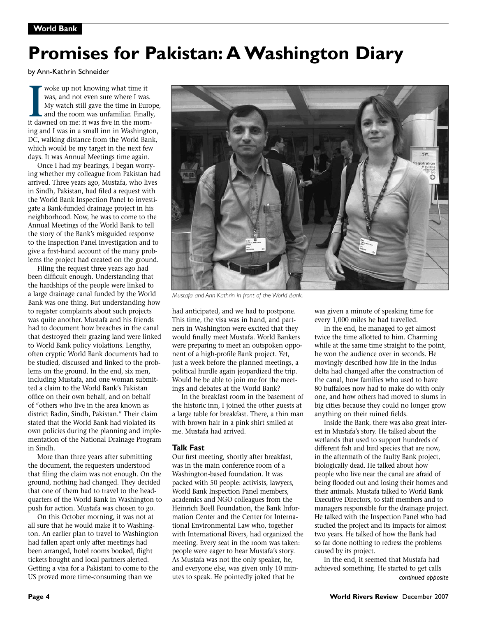# **Promises for Pakistan: A Washington Diary**

by Ann-Kathrin Schneider

**I** woke up not knowing what time it was, and not even sure where I was. My watch still gave the time in Euro and the room was unfamiliar. Finally it dawned on me: it was five in the mornwoke up not knowing what time it was, and not even sure where I was. My watch still gave the time in Europe, and the room was unfamiliar. Finally, ing and I was in a small inn in Washington, DC, walking distance from the World Bank, which would be my target in the next few days. It was Annual Meetings time again.

Once I had my bearings, I began worrying whether my colleague from Pakistan had arrived. Three years ago, Mustafa, who lives in Sindh, Pakistan, had filed a request with the World Bank Inspection Panel to investigate a Bank-funded drainage project in his neighborhood. Now, he was to come to the Annual Meetings of the World Bank to tell the story of the Bank's misguided response to the Inspection Panel investigation and to give a first-hand account of the many problems the project had created on the ground.

Filing the request three years ago had been difficult enough. Understanding that the hardships of the people were linked to a large drainage canal funded by the World Bank was one thing. But understanding how to register complaints about such projects was quite another. Mustafa and his friends had to document how breaches in the canal that destroyed their grazing land were linked to World Bank policy violations. Lengthy, often cryptic World Bank documents had to be studied, discussed and linked to the problems on the ground. In the end, six men, including Mustafa, and one woman submitted a claim to the World Bank's Pakistan office on their own behalf, and on behalf of "others who live in the area known as district Badin, Sindh, Pakistan." Their claim stated that the World Bank had violated its own policies during the planning and implementation of the National Drainage Program in Sindh.

More than three years after submitting the document, the requesters understood that filing the claim was not enough. On the ground, nothing had changed. They decided that one of them had to travel to the headquarters of the World Bank in Washington to push for action. Mustafa was chosen to go.

On this October morning, it was not at all sure that he would make it to Washington. An earlier plan to travel to Washington had fallen apart only after meetings had been arranged, hotel rooms booked, flight tickets bought and local partners alerted. Getting a visa for a Pakistani to come to the US proved more time-consuming than we

was given a minute of speaking time for every 1,000 miles he had travelled. In the end, he managed to get almost had anticipated, and we had to postpone. This time, the visa was in hand, and partners in Washington were excited that they would finally meet Mustafa. World Bankers were preparing to meet an outspoken oppo-

twice the time allotted to him. Charming while at the same time straight to the point, he won the audience over in seconds. He movingly described how life in the Indus delta had changed after the construction of the canal, how families who used to have 80 buffaloes now had to make do with only one, and how others had moved to slums in big cities because they could no longer grow anything on their ruined fields.

Inside the Bank, there was also great interest in Mustafa's story. He talked about the wetlands that used to support hundreds of different fish and bird species that are now, in the aftermath of the faulty Bank project, biologically dead. He talked about how people who live near the canal are afraid of being flooded out and losing their homes and their animals. Mustafa talked to World Bank Executive Directors, to staff members and to managers responsible for the drainage project. He talked with the Inspection Panel who had studied the project and its impacts for almost two years. He talked of how the Bank had so far done nothing to redress the problems caused by its project.

In the end, it seemed that Mustafa had achieved something. He started to get calls *continued opposite*



*Mustafa and Ann-Kathrin in front of the World Bank.*

nent of a high-profile Bank project. Yet, just a week before the planned meetings, a political hurdle again jeopardized the trip. Would he be able to join me for the meetings and debates at the World Bank?

In the breakfast room in the basement of the historic inn, I joined the other guests at a large table for breakfast. There, a thin man with brown hair in a pink shirt smiled at

**Talk Fast**

me. Mustafa had arrived.

Our first meeting, shortly after breakfast, was in the main conference room of a Washington-based foundation. It was packed with 50 people: activists, lawyers, World Bank Inspection Panel members, academics and NGO colleagues from the Heinrich Boell Foundation, the Bank Information Center and the Center for International Environmental Law who, together with International Rivers, had organized the meeting. Every seat in the room was taken: people were eager to hear Mustafa's story. As Mustafa was not the only speaker, he, and everyone else, was given only 10 minutes to speak. He pointedly joked that he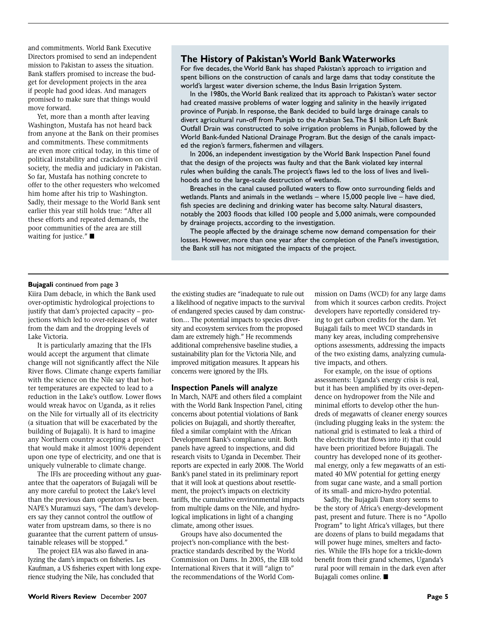and commitments. World Bank Executive Directors promised to send an independent mission to Pakistan to assess the situation. Bank staffers promised to increase the budget for development projects in the area if people had good ideas. And managers promised to make sure that things would move forward.

Yet, more than a month after leaving Washington, Mustafa has not heard back from anyone at the Bank on their promises and commitments. These commitments are even more critical today, in this time of political instability and crackdown on civil society, the media and judiciary in Pakistan. So far, Mustafa has nothing concrete to offer to the other requesters who welcomed him home after his trip to Washington. Sadly, their message to the World Bank sent earlier this year still holds true: "After all these efforts and repeated demands, the poor communities of the area are still waiting for justice." $\blacksquare$ 

#### **The History of Pakistan's World Bank Waterworks**

For five decades, the World Bank has shaped Pakistan's approach to irrigation and spent billions on the construction of canals and large dams that today constitute the world's largest water diversion scheme, the Indus Basin Irrigation System.

In the 1980s, the World Bank realized that its approach to Pakistan's water sector had created massive problems of water logging and salinity in the heavily irrigated province of Punjab. In response, the Bank decided to build large drainage canals to divert agricultural run-off from Punjab to the Arabian Sea. The \$1 billion Left Bank Outfall Drain was constructed to solve irrigation problems in Punjab, followed by the World Bank-funded National Drainage Program. But the design of the canals impacted the region's farmers, fishermen and villagers.

In 2006, an independent investigation by the World Bank Inspection Panel found that the design of the projects was faulty and that the Bank violated key internal rules when building the canals. The project's flaws led to the loss of lives and livelihoods and to the large-scale destruction of wetlands.

Breaches in the canal caused polluted waters to flow onto surrounding fields and wetlands. Plants and animals in the wetlands – where 15,000 people live – have died, fish species are declining and drinking water has become salty. Natural disasters, notably the 2003 floods that killed 100 people and 5,000 animals, were compounded by drainage projects, according to the investigation.

The people affected by the drainage scheme now demand compensation for their losses. However, more than one year after the completion of the Panel's investigation, the Bank still has not mitigated the impacts of the project.

#### **Bujagali** continued from page 3

Kiira Dam debacle, in which the Bank used over-optimistic hydrological projections to justify that dam's projected capacity – projections which led to over-releases of water from the dam and the dropping levels of Lake Victoria.

It is particularly amazing that the IFIs would accept the argument that climate change will not significantly affect the Nile River flows. Climate change experts familiar with the science on the Nile say that hotter temperatures are expected to lead to a reduction in the Lake's outflow. Lower flows would wreak havoc on Uganda, as it relies on the Nile for virtually all of its electricity (a situation that will be exacerbated by the building of Bujagali). It is hard to imagine any Northern country accepting a project that would make it almost 100% dependent upon one type of electricity, and one that is uniquely vulnerable to climate change.

The IFIs are proceeding without any guarantee that the oaperators of Bujagali will be any more careful to protect the Lake's level than the previous dam operators have been. NAPE's Muramuzi says, "The dam's developers say they cannot control the outflow of water from upstream dams, so there is no guarantee that the current pattern of unsustainable releases will be stopped."

The project EIA was also flawed in analyzing the dam's impacts on fisheries. Les Kaufman, a US fisheries expert with long experience studying the Nile, has concluded that

the existing studies are "inadequate to rule out a likelihood of negative impacts to the survival of endangered species caused by dam construction… The potential impacts to species diversity and ecosystem services from the proposed dam are extremely high." He recommends additional comprehensive baseline studies, a sustainability plan for the Victoria Nile, and improved mitigation measures. It appears his concerns were ignored by the IFIs.

#### **Inspection Panels will analyze**

In March, NAPE and others filed a complaint with the World Bank Inspection Panel, citing concerns about potential violations of Bank policies on Bujagali, and shortly thereafter, filed a similar complaint with the African Development Bank's compliance unit. Both panels have agreed to inspections, and did research visits to Uganda in December. Their reports are expected in early 2008. The World Bank's panel stated in its preliminary report that it will look at questions about resettlement, the project's impacts on electricity tariffs, the cumulative environmental impacts from multiple dams on the Nile, and hydrological implications in light of a changing climate, among other issues.

Groups have also documented the project's non-compliance with the bestpractice standards described by the World Commission on Dams. In 2005, the EIB told International Rivers that it will "align to" the recommendations of the World Commission on Dams (WCD) for any large dams from which it sources carbon credits. Project developers have reportedly considered trying to get carbon credits for the dam. Yet Bujagali fails to meet WCD standards in many key areas, including comprehensive options assessments, addressing the impacts of the two existing dams, analyzing cumulative impacts, and others.

For example, on the issue of options assessments: Uganda's energy crisis is real, but it has been amplified by its over-dependence on hydropower from the Nile and minimal efforts to develop other the hundreds of megawatts of cleaner energy sources (including plugging leaks in the system: the national grid is estimated to leak a third of the electricity that flows into it) that could have been prioritized before Bujagali. The country has developed none of its geothermal energy, only a few megawatts of an estimated 40 MW potential for getting energy from sugar cane waste, and a small portion of its small- and micro-hydro potential.

Sadly, the Bujagali Dam story seems to be the story of Africa's energy-development past, present and future. There is no "Apollo Program" to light Africa's villages, but there are dozens of plans to build megadams that will power huge mines, smelters and factories. While the IFIs hope for a trickle-down benefit from their grand schemes, Uganda's rural poor will remain in the dark even after Bujagali comes online. ■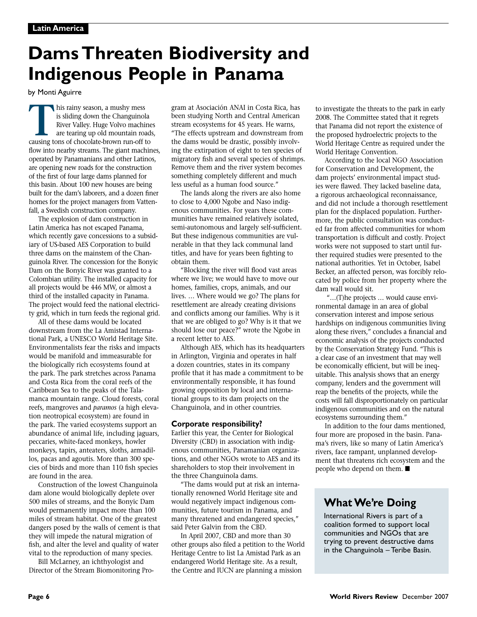# **Dams Threaten Biodiversity and Indigenous People in Panama**

by Monti Aguirre

**THE STARK INTERNATION SET ASSES IS SIGNATED SERVIDE SERVIDE AN EXERCUTE:**<br>
FRAME RIGHT AND REVIDE AN EXTERNATION TO THE APPLY A CHANGE CAUSING THE AND SCAUSE CAUSE CAUSE AND NOT THE APPLY THAT A CHANGE THAN THE APPLY ON T is sliding down the Changuinola River Valley. Huge Volvo machines are tearing up old mountain roads, flow into nearby streams. The giant machines, operated by Panamanians and other Latinos, are opening new roads for the construction of the first of four large dams planned for this basin. About 100 new houses are being built for the dam's laborers, and a dozen finer homes for the project managers from Vattenfall, a Swedish construction company.

The explosion of dam construction in Latin America has not escaped Panama, which recently gave concessions to a subsidiary of US-based AES Corporation to build three dams on the mainstem of the Changuinola River. The concession for the Bonyic Dam on the Bonyic River was granted to a Colombian utility. The installed capacity for all projects would be 446 MW, or almost a third of the installed capacity in Panama. The project would feed the national electricity grid, which in turn feeds the regional grid.

All of these dams would be located downstream from the La Amistad International Park, a UNESCO World Heritage Site. Environmentalists fear the risks and impacts would be manifold and immeasurable for the biologically rich ecosystems found at the park. The park stretches across Panama and Costa Rica from the coral reefs of the Caribbean Sea to the peaks of the Talamanca mountain range. Cloud forests, coral reefs, mangroves and *paramos* (a high elevation neotropical ecosystem) are found in the park. The varied ecosystems support an abundance of animal life, including jaguars, peccaries, white-faced monkeys, howler monkeys, tapirs, anteaters, sloths, armadillos, pacas and agoutis. More than 300 species of birds and more than 110 fish species are found in the area.

Construction of the lowest Changuinola dam alone would biologically deplete over 500 miles of streams, and the Bonyic Dam would permanently impact more than 100 miles of stream habitat. One of the greatest dangers posed by the walls of cement is that they will impede the natural migration of fish, and alter the level and quality of water vital to the reproduction of many species.

Bill McLarney, an ichthyologist and Director of the Stream Biomonitoring Program at Asociación ANAI in Costa Rica, has been studying North and Central American stream ecosystems for 45 years. He warns, "The effects upstream and downstream from the dams would be drastic, possibly involving the extirpation of eight to ten species of migratory fish and several species of shrimps. Remove them and the river system becomes something completely different and much less useful as a human food source."

The lands along the rivers are also home to close to 4,000 Ngobe and Naso indigenous communities. For years these communities have remained relatively isolated, semi-autonomous and largely self-sufficient. But these indigenous communities are vulnerable in that they lack communal land titles, and have for years been fighting to obtain them.

"Blocking the river will flood vast areas where we live; we would have to move our homes, families, crops, animals, and our lives. … Where would we go? The plans for resettlement are already creating divisions and conflicts among our families. Why is it that we are obliged to go? Why is it that we should lose our peace?" wrote the Ngobe in a recent letter to AES.

Although AES, which has its headquarters in Arlington, Virginia and operates in half a dozen countries, states in its company profile that it has made a commitment to be environmentally responsible, it has found growing opposition by local and international groups to its dam projects on the Changuinola, and in other countries.

#### **Corporate responsibility?**

Earlier this year, the Center for Biological Diversity (CBD) in association with indigenous communities, Panamanian organizations, and other NGOs wrote to AES and its shareholders to stop their involvement in the three Changuinola dams.

"The dams would put at risk an internationally renowned World Heritage site and would negatively impact indigenous communities, future tourism in Panama, and many threatened and endangered species," said Peter Galvin from the CBD.

In April 2007, CBD and more than 30 other groups also filed a petition to the World Heritage Centre to list La Amistad Park as an endangered World Heritage site. As a result, the Centre and IUCN are planning a mission

to investigate the threats to the park in early 2008. The Committee stated that it regrets that Panama did not report the existence of the proposed hydroelectric projects to the World Heritage Centre as required under the World Heritage Convention.

According to the local NGO Association for Conservation and Development, the dam projects' environmental impact studies were flawed. They lacked baseline data, a rigorous archaeological reconnaissance, and did not include a thorough resettlement plan for the displaced population. Furthermore, the public consultation was conducted far from affected communities for whom transportation is difficult and costly. Project works were not supposed to start until further required studies were presented to the national authorities. Yet in October, Isabel Becker, an affected person, was forcibly relocated by police from her property where the dam wall would sit.

 "…(T)he projects … would cause environmental damage in an area of global conservation interest and impose serious hardships on indigenous communities living along these rivers," concludes a financial and economic analysis of the projects conducted by the Conservation Strategy Fund. "This is a clear case of an investment that may well be economically efficient, but will be inequitable. This analysis shows that an energy company, lenders and the government will reap the benefits of the projects, while the costs will fall disproportionately on particular indigenous communities and on the natural ecosystems surrounding them."

In addition to the four dams mentioned, four more are proposed in the basin. Panama's rivers, like so many of Latin America's rivers, face rampant, unplanned development that threatens rich ecosystem and the people who depend on them.  $\blacksquare$ 

### **What We're Doing**

International Rivers is part of a coalition formed to support local communities and NGOs that are trying to prevent destructive dams in the Changuinola – Teribe Basin.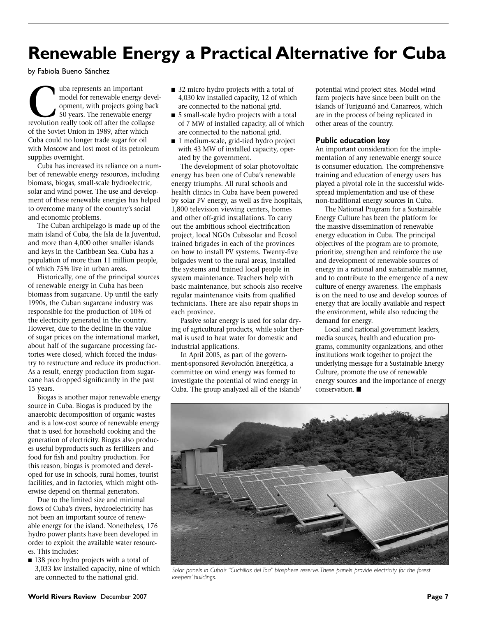### **Renewable Energy a Practical Alternative for Cuba**

by Fabiola Bueno Sánchez

**Cuba represents an important model for renewable energy deversion power of the sum of the sum of the sum revolution really took off after the collapse** model for renewable energy development, with projects going back 50 years. The renewable energy of the Soviet Union in 1989, after which Cuba could no longer trade sugar for oil with Moscow and lost most of its petroleum supplies overnight.

Cuba has increased its reliance on a number of renewable energy resources, including biomass, biogas, small-scale hydroelectric, solar and wind power. The use and development of these renewable energies has helped to overcome many of the country's social and economic problems.

The Cuban archipelago is made up of the main island of Cuba, the Isla de la Juventud, and more than 4,000 other smaller islands and keys in the Caribbean Sea. Cuba has a population of more than 11 million people, of which 75% live in urban areas.

Historically, one of the principal sources of renewable energy in Cuba has been biomass from sugarcane. Up until the early 1990s, the Cuban sugarcane industry was responsible for the production of 10% of the electricity generated in the country. However, due to the decline in the value of sugar prices on the international market, about half of the sugarcane processing factories were closed, which forced the industry to restructure and reduce its production. As a result, energy production from sugarcane has dropped significantly in the past 15 years.

Biogas is another major renewable energy source in Cuba. Biogas is produced by the anaerobic decomposition of organic wastes and is a low-cost source of renewable energy that is used for household cooking and the generation of electricity. Biogas also produces useful byproducts such as fertilizers and food for fish and poultry production. For this reason, biogas is promoted and developed for use in schools, rural homes, tourist facilities, and in factories, which might otherwise depend on thermal generators.

Due to the limited size and minimal flows of Cuba's rivers, hydroelectricity has not been an important source of renewable energy for the island. Nonetheless, 176 hydro power plants have been developed in order to exploit the available water resources. This includes:

■ 138 pico hydro projects with a total of 3,033 kw installed capacity, nine of which are connected to the national grid.

- 32 micro hydro projects with a total of 4,030 kw installed capacity, 12 of which are connected to the national grid.
- 5 small-scale hydro projects with a total of 7 MW of installed capacity, all of which are connected to the national grid.
- 1 medium-scale, grid-tied hydro project with 43 MW of installed capacity, operated by the government.

The development of solar photovoltaic energy has been one of Cuba's renewable energy triumphs. All rural schools and health clinics in Cuba have been powered by solar PV energy, as well as five hospitals, 1,800 television viewing centers, homes and other off-grid installations. To carry out the ambitious school electrification project, local NGOs Cubasolar and Ecosol trained brigades in each of the provinces on how to install PV systems. Twenty-five brigades went to the rural areas, installed the systems and trained local people in system maintenance. Teachers help with basic maintenance, but schools also receive regular maintenance visits from qualified technicians. There are also repair shops in each province.

Passive solar energy is used for solar drying of agricultural products, while solar thermal is used to heat water for domestic and industrial applications.

In April 2005, as part of the government-sponsored Revolución Energética, a committee on wind energy was formed to investigate the potential of wind energy in Cuba. The group analyzed all of the islands'

potential wind project sites. Model wind farm projects have since been built on the islands of Turiguanó and Canarreos, which are in the process of being replicated in other areas of the country.

#### **Public education key**

An important consideration for the implementation of any renewable energy source is consumer education. The comprehensive training and education of energy users has played a pivotal role in the successful widespread implementation and use of these non-traditional energy sources in Cuba.

The National Program for a Sustainable Energy Culture has been the platform for the massive dissemination of renewable energy education in Cuba. The principal objectives of the program are to promote, prioritize, strengthen and reinforce the use and development of renewable sources of energy in a rational and sustainable manner, and to contribute to the emergence of a new culture of energy awareness. The emphasis is on the need to use and develop sources of energy that are locally available and respect the environment, while also reducing the demand for energy.

Local and national government leaders, media sources, health and education programs, community organizations, and other institutions work together to project the underlying message for a Sustainable Energy Culture, promote the use of renewable energy sources and the importance of energy  $conservation.$ 



*Solar panels in Cuba's "Cuchillas del Toa" biosphere reserve. These panels provide electricity for the forest keepers' buildings.*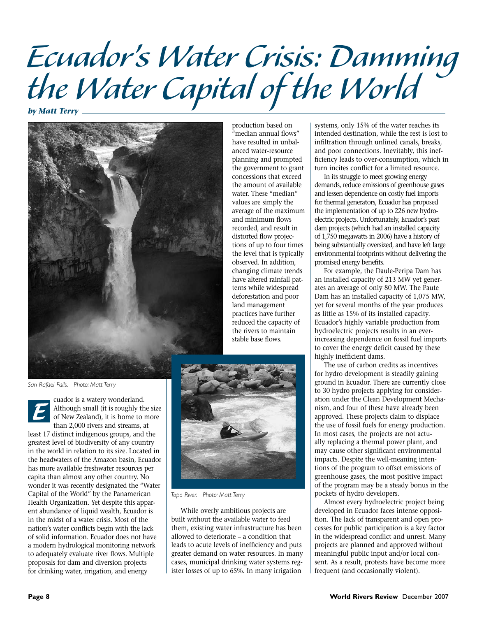# *Ecuador's Water Crisis: Damming the Water Capital of the World*

*by Matt Terry*



*San Rafael Falls. Photo: Matt Terry*

cuador is a watery wonderland. Although small (it is roughly the size of New Zealand), it is home to more than 2,000 rivers and streams, at least 17 distinct indigenous groups, and the greatest level of biodiversity of any country in the world in relation to its size. Located in the headwaters of the Amazon basin, Ecuador has more available freshwater resources per capita than almost any other country. No wonder it was recently designated the "Water Capital of the World" by the Panamerican Health Organization. Yet despite this apparent abundance of liquid wealth, Ecuador is in the midst of a water crisis. Most of the nation's water conflicts begin with the lack of solid information. Ecuador does not have a modern hydrological monitoring network to adequately evaluate river flows. Multiple proposals for dam and diversion projects for drinking water, irrigation, and energy *E*

production based on "median annual flows" have resulted in unbalanced water-resource planning and prompted the government to grant concessions that exceed the amount of available water. These "median" values are simply the average of the maximum and minimum flows recorded, and result in distorted flow projections of up to four times the level that is typically observed. In addition, changing climate trends have altered rainfall patterns while widespread deforestation and poor land management practices have further reduced the capacity of the rivers to maintain stable base flows.



*Topo River. Photo: Matt Terry*

While overly ambitious projects are built without the available water to feed them, existing water infrastructure has been allowed to deteriorate – a condition that leads to acute levels of inefficiency and puts greater demand on water resources. In many cases, municipal drinking water systems register losses of up to 65%. In many irrigation

systems, only 15% of the water reaches its intended destination, while the rest is lost to infiltration through unlined canals, breaks, and poor connections. Inevitably, this inefficiency leads to over-consumption, which in turn incites conflict for a limited resource.

In its struggle to meet growing energy demands, reduce emissions of greenhouse gases and lessen dependence on costly fuel imports for thermal generators, Ecuador has proposed the implementation of up to 226 new hydroelectric projects. Unfortunately, Ecuador's past dam projects (which had an installed capacity of 1,750 megawatts in 2006) have a history of being substantially oversized, and have left large environmental footprints without delivering the promised energy benefits.

For example, the Daule-Peripa Dam has an installed capacity of 213 MW yet generates an average of only 80 MW. The Paute Dam has an installed capacity of 1,075 MW, yet for several months of the year produces as little as 15% of its installed capacity. Ecuador's highly variable production from hydroelectric projects results in an everincreasing dependence on fossil fuel imports to cover the energy deficit caused by these highly inefficient dams.

The use of carbon credits as incentives for hydro development is steadily gaining ground in Ecuador. There are currently close to 30 hydro projects applying for consideration under the Clean Development Mechanism, and four of these have already been approved. These projects claim to displace the use of fossil fuels for energy production. In most cases, the projects are not actually replacing a thermal power plant, and may cause other significant environmental impacts. Despite the well-meaning intentions of the program to offset emissions of greenhouse gases, the most positive impact of the program may be a steady bonus in the pockets of hydro developers.

Almost every hydroelectric project being developed in Ecuador faces intense opposition. The lack of transparent and open processes for public participation is a key factor in the widespread conflict and unrest. Many projects are planned and approved without meaningful public input and/or local consent. As a result, protests have become more frequent (and occasionally violent).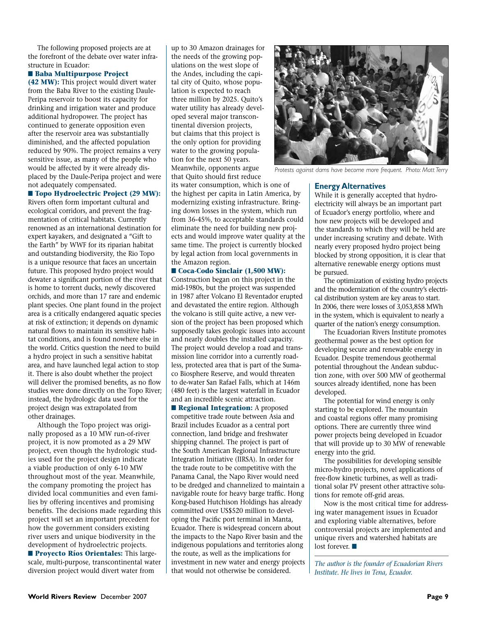The following proposed projects are at the forefront of the debate over water infrastructure in Ecuador:

#### ■ Baba Multipurpose Project

**(42 MW):** This project would divert water from the Baba River to the existing Daule-Peripa reservoir to boost its capacity for drinking and irrigation water and produce additional hydropower. The project has continued to generate opposition even after the reservoir area was substantially diminished, and the affected population reduced by 90%. The project remains a very sensitive issue, as many of the people who would be affected by it were already displaced by the Daule-Peripa project and were not adequately compensated.

#### ■ **Topo Hydroelectric Project (29 MW):**

Rivers often form important cultural and ecological corridors, and prevent the fragmentation of critical habitats. Currently renowned as an international destination for expert kayakers, and designated a "Gift to the Earth" by WWF for its riparian habitat and outstanding biodiversity, the Rio Topo is a unique resource that faces an uncertain future. This proposed hydro project would dewater a significant portion of the river that is home to torrent ducks, newly discovered orchids, and more than 17 rare and endemic plant species. One plant found in the project area is a critically endangered aquatic species at risk of extinction; it depends on dynamic natural flows to maintain its sensitive habitat conditions, and is found nowhere else in the world. Critics question the need to build a hydro project in such a sensitive habitat area, and have launched legal action to stop it. There is also doubt whether the project will deliver the promised benefits, as no flow studies were done directly on the Topo River; instead, the hydrologic data used for the project design was extrapolated from other drainages.

Although the Topo project was originally proposed as a 10 MW run-of-river project, it is now promoted as a 29 MW project, even though the hydrologic studies used for the project design indicate a viable production of only 6-10 MW throughout most of the year. Meanwhile, the company promoting the project has divided local communities and even families by offering incentives and promising benefits. The decisions made regarding this project will set an important precedent for how the government considers existing river users and unique biodiversity in the development of hydroelectric projects. **n Proyecto Ríos Orientales:** This largescale, multi-purpose, transcontinental water diversion project would divert water from

up to 30 Amazon drainages for the needs of the growing populations on the west slope of the Andes, including the capital city of Quito, whose population is expected to reach three million by 2025. Quito's water utility has already developed several major transcontinental diversion projects, but claims that this project is the only option for providing water to the growing population for the next 50 years. Meanwhile, opponents argue that Quito should first reduce

its water consumption, which is one of the highest per capita in Latin America, by modernizing existing infrastructure. Bringing down losses in the system, which run from 36-45%, to acceptable standards could eliminate the need for building new projects and would improve water quality at the same time. The project is currently blocked by legal action from local governments in the Amazon region.

#### ■ Coca-Codo Sinclair (1,500 MW):

Construction began on this project in the mid-1980s, but the project was suspended in 1987 after Volcano El Reventador erupted and devastated the entire region. Although the volcano is still quite active, a new version of the project has been proposed which supposedly takes geologic issues into account and nearly doubles the installed capacity. The project would develop a road and transmission line corridor into a currently roadless, protected area that is part of the Sumaco Biosphere Reserve, and would threaten to de-water San Rafael Falls, which at 146m (480 feet) is the largest waterfall in Ecuador and an incredible scenic attraction.

**n** Regional Integration: A proposed competitive trade route between Asia and Brazil includes Ecuador as a central port connection, land bridge and freshwater shipping channel. The project is part of the South American Regional Infrastructure Integration Initiative (IIRSA). In order for the trade route to be competitive with the Panama Canal, the Napo River would need to be dredged and channelized to maintain a navigable route for heavy barge traffic. Hong Kong-based Hutchison Holdings has already committed over US\$520 million to developing the Pacific port terminal in Manta, Ecuador. There is widespread concern about the impacts to the Napo River basin and the indigenous populations and territories along the route, as well as the implications for investment in new water and energy projects that would not otherwise be considered.



*Protests against dams have become more frequent. Photo: Matt Terry*

#### **Energy Alternatives**

While it is generally accepted that hydroelectricity will always be an important part of Ecuador's energy portfolio, where and how new projects will be developed and the standards to which they will be held are under increasing scrutiny and debate. With nearly every proposed hydro project being blocked by strong opposition, it is clear that alternative renewable energy options must be pursued.

The optimization of existing hydro projects and the modernization of the country's electrical distribution system are key areas to start. In 2006, there were losses of 3,053,858 MWh in the system, which is equivalent to nearly a quarter of the nation's energy consumption.

The Ecuadorian Rivers Institute promotes geothermal power as the best option for developing secure and renewable energy in Ecuador. Despite tremendous geothermal potential throughout the Andean subduction zone, with over 500 MW of geothermal sources already identified, none has been developed.

The potential for wind energy is only starting to be explored. The mountain and coastal regions offer many promising options. There are currently three wind power projects being developed in Ecuador that will provide up to 30 MW of renewable energy into the grid.

The possibilities for developing sensible micro-hydro projects, novel applications of free-flow kinetic turbines, as well as traditional solar PV present other attractive solutions for remote off-grid areas.

Now is the most critical time for addressing water management issues in Ecuador and exploring viable alternatives, before controversial projects are implemented and unique rivers and watershed habitats are lost forever.  $\blacksquare$ 

*The author is the founder of Ecuadorian Rivers Institute. He lives in Tena, Ecuador.*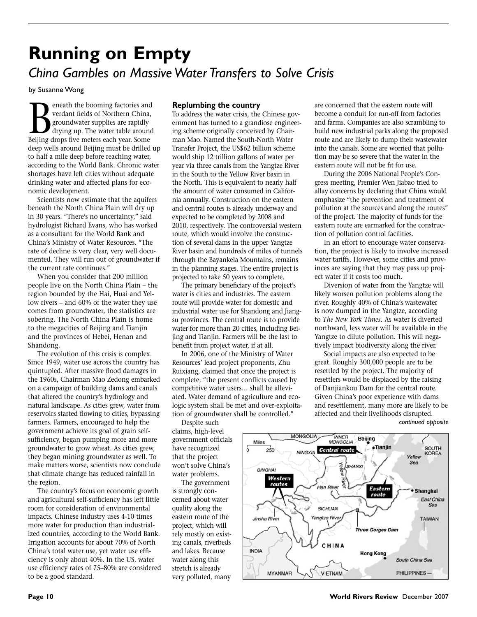### **Running on Empty**  *China Gambles on Massive Water Transfers to Solve Crisis*

by Susanne Wong

**Beneath the booming factories and verdant fields of Northern China, groundwater supplies are rapidly drying up. The water table around Beijing drops five meters each vear. Some** verdant fields of Northern China, groundwater supplies are rapidly drying up. The water table around Beijing drops five meters each year. Some deep wells around Beijing must be drilled up to half a mile deep before reaching water, according to the World Bank. Chronic water shortages have left cities without adequate drinking water and affected plans for economic development.

Scientists now estimate that the aquifers beneath the North China Plain will dry up in 30 years. "There's no uncertainty," said hydrologist Richard Evans, who has worked as a consultant for the World Bank and China's Ministry of Water Resources. "The rate of decline is very clear, very well documented. They will run out of groundwater if the current rate continues."

When you consider that 200 million people live on the North China Plain – the region bounded by the Hai, Huai and Yellow rivers – and 60% of the water they use comes from groundwater, the statistics are sobering. The North China Plain is home to the megacities of Beijing and Tianjin and the provinces of Hebei, Henan and Shandong.

The evolution of this crisis is complex. Since 1949, water use across the country has quintupled. After massive flood damages in the 1960s, Chairman Mao Zedong embarked on a campaign of building dams and canals that altered the country's hydrology and natural landscape. As cities grew, water from reservoirs started flowing to cities, bypassing farmers. Farmers, encouraged to help the government achieve its goal of grain selfsufficiency, began pumping more and more groundwater to grow wheat. As cities grew, they began mining groundwater as well. To make matters worse, scientists now conclude that climate change has reduced rainfall in the region.

The country's focus on economic growth and agricultural self-sufficiency has left little room for consideration of environmental impacts. Chinese industry uses 4-10 times more water for production than industrialized countries, according to the World Bank. Irrigation accounts for about 70% of North China's total water use, yet water use efficiency is only about 40%. In the US, water use efficiency rates of 75–80% are considered to be a good standard.

#### **Replumbing the country**

To address the water crisis, the Chinese government has turned to a grandiose engineering scheme originally conceived by Chairman Mao. Named the South-North Water Transfer Project, the US\$62 billion scheme would ship 12 trillion gallons of water per year via three canals from the Yangtze River in the South to the Yellow River basin in the North. This is equivalent to nearly half the amount of water consumed in California annually. Construction on the eastern and central routes is already underway and expected to be completed by 2008 and 2010, respectively. The controversial western route, which would involve the construction of several dams in the upper Yangtze River basin and hundreds of miles of tunnels through the Bayankela Mountains, remains in the planning stages. The entire project is projected to take 50 years to complete.

The primary beneficiary of the project's water is cities and industries. The eastern route will provide water for domestic and industrial water use for Shandong and Jiangsu provinces. The central route is to provide water for more than 20 cities, including Beijing and Tianjin. Farmers will be the last to benefit from project water, if at all.

In 2006, one of the Ministry of Water Resources' lead project proponents, Zhu Ruixiang, claimed that once the project is complete, "the present conflicts caused by competitive water users… shall be alleviated. Water demand of agriculture and ecologic system shall be met and over-exploitation of groundwater shall be controlled."

Despite such claims, high-level government officials have recognized that the project won't solve China's water problems.

The government is strongly concerned about water quality along the eastern route of the project, which will rely mostly on existing canals, riverbeds and lakes. Because water along this stretch is already very polluted, many are concerned that the eastern route will become a conduit for run-off from factories and farms. Companies are also scrambling to build new industrial parks along the proposed route and are likely to dump their wastewater into the canals. Some are worried that pollution may be so severe that the water in the eastern route will not be fit for use.

During the 2006 National People's Congress meeting, Premier Wen Jiabao tried to allay concerns by declaring that China would emphasize "the prevention and treatment of pollution at the sources and along the routes" of the project. The majority of funds for the eastern route are earmarked for the construction of pollution control facilities.

In an effort to encourage water conservation, the project is likely to involve increased water tariffs. However, some cities and provinces are saying that they may pass up project water if it costs too much.

Diversion of water from the Yangtze will likely worsen pollution problems along the river. Roughly 40% of China's wastewater is now dumped in the Yangtze, according to *The New York Times.* As water is diverted northward, less water will be available in the Yangtze to dilute pollution. This will negatively impact biodiversity along the river.

Social impacts are also expected to be great. Roughly 300,000 people are to be resettled by the project. The majority of resettlers would be displaced by the raising of Danjiankou Dam for the central route. Given China's poor experience with dams and resettlement, many more are likely to be affected and their livelihoods disrupted.



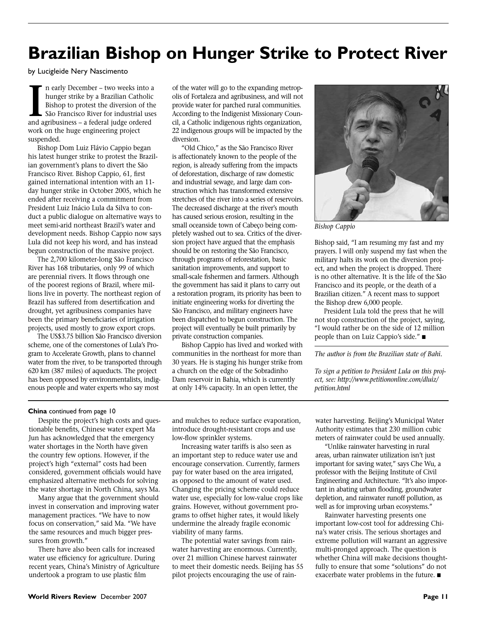### **Brazilian Bishop on Hunger Strike to Protect River**

by Lucigleide Nery Nascimento

In early December – two weeks into a hunger strike by a Brazilian Catholic Bishop to protest the diversion of the São Francisco River for industrial use and agribusiness – a federal judge ordered n early December – two weeks into a hunger strike by a Brazilian Catholic Bishop to protest the diversion of the São Francisco River for industrial uses work on the huge engineering project suspended.

Bishop Dom Luiz Flávio Cappio began his latest hunger strike to protest the Brazilian government's plans to divert the São Francisco River. Bishop Cappio, 61, first gained international intention with an 11 day hunger strike in October 2005, which he ended after receiving a commitment from President Luiz Inácio Lula da Silva to conduct a public dialogue on alternative ways to meet semi-arid northeast Brazil's water and development needs. Bishop Cappio now says Lula did not keep his word, and has instead begun construction of the massive project.

The 2,700 kilometer-long São Francisco River has 168 tributaries, only 99 of which are perennial rivers. It flows through one of the poorest regions of Brazil, where millions live in poverty. The northeast region of Brazil has suffered from desertification and drought, yet agribusiness companies have been the primary beneficiaries of irrigation projects, used mostly to grow export crops.

The US\$3.75 billion São Francisco diversion scheme, one of the cornerstones of Lula's Program to Accelerate Growth, plans to channel water from the river, to be transported through 620 km (387 miles) of aqueducts. The project has been opposed by environmentalists, indigenous people and water experts who say most

of the water will go to the expanding metropolis of Fortaleza and agribusiness, and will not provide water for parched rural communities. According to the Indigenist Missionary Council, a Catholic indigenous rights organization, 22 indigenous groups will be impacted by the diversion.

"Old Chico," as the São Francisco River is affectionately known to the people of the region, is already suffering from the impacts of deforestation, discharge of raw domestic and industrial sewage, and large dam construction which has transformed extensive stretches of the river into a series of reservoirs. The decreased discharge at the river's mouth has caused serious erosion, resulting in the small oceanside town of Cabeço being completely washed out to sea. Critics of the diversion project have argued that the emphasis should be on restoring the São Francisco, through programs of reforestation, basic sanitation improvements, and support to small-scale fishermen and farmers. Although the government has said it plans to carry out a restoration program, its priority has been to initiate engineering works for diverting the São Francisco, and military engineers have been dispatched to begun construction. The project will eventually be built primarily by private construction companies.

Bishop Cappio has lived and worked with communities in the northeast for more than 30 years. He is staging his hunger strike from a church on the edge of the Sobradinho Dam reservoir in Bahia, which is currently at only 14% capacity. In an open letter, the



*Bishop Cappio*

Bishop said, "I am resuming my fast and my prayers. I will only suspend my fast when the military halts its work on the diversion project, and when the project is dropped. There is no other alternative. It is the life of the São Francisco and its people, or the death of a Brazilian citizen." A recent mass to support the Bishop drew 6,000 people.

President Lula told the press that he will not stop construction of the project, saying, "I would rather be on the side of 12 million people than on Luiz Cappio's side."  $\blacksquare$ 

*The author is from the Brazilian state of Bahi.*

*To sign a petition to President Lula on this project, see: http://www.petitiononline.com/dluiz/ petition.html*

#### **China** continued from page 10

Despite the project's high costs and questionable benefits, Chinese water expert Ma Jun has acknowledged that the emergency water shortages in the North have given the country few options. However, if the project's high "external" costs had been considered, government officials would have emphasized alternative methods for solving the water shortage in North China, says Ma.

Many argue that the government should invest in conservation and improving water management practices. "We have to now focus on conservation," said Ma. "We have the same resources and much bigger pressures from growth."

There have also been calls for increased water use efficiency for agriculture. During recent years, China's Ministry of Agriculture undertook a program to use plastic film

and mulches to reduce surface evaporation, introduce drought-resistant crops and use low-flow sprinkler systems.

Increasing water tariffs is also seen as an important step to reduce water use and encourage conservation. Currently, farmers pay for water based on the area irrigated, as opposed to the amount of water used. Changing the pricing scheme could reduce water use, especially for low-value crops like grains. However, without government programs to offset higher rates, it would likely undermine the already fragile economic viability of many farms.

The potential water savings from rainwater harvesting are enormous. Currently, over 21 million Chinese harvest rainwater to meet their domestic needs. Beijing has 55 pilot projects encouraging the use of rainwater harvesting. Beijing's Municipal Water Authority estimates that 230 million cubic meters of rainwater could be used annually.

"Unlike rainwater harvesting in rural areas, urban rainwater utilization isn't just important for saving water," says Che Wu, a professor with the Beijing Institute of Civil Engineering and Architecture. "It's also important in abating urban flooding, groundwater depletion, and rainwater runoff pollution, as well as for improving urban ecosystems."

Rainwater harvesting presents one important low-cost tool for addressing China's water crisis. The serious shortages and extreme pollution will warrant an aggressive multi-pronged approach. The question is whether China will make decisions thoughtfully to ensure that some "solutions" do not exacerbate water problems in the future.  $\blacksquare$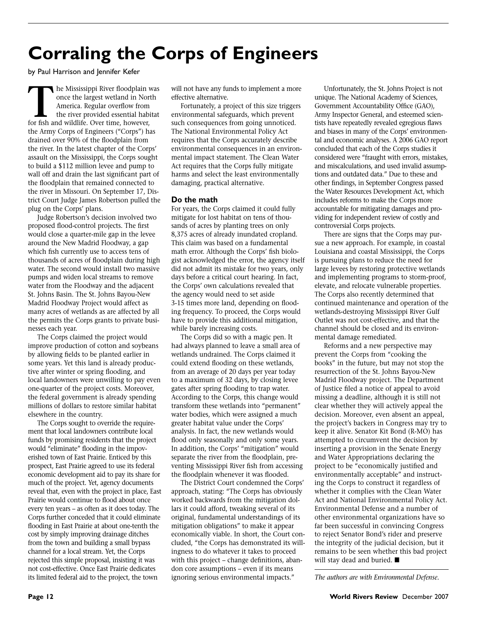# **Corraling the Corps of Engineers**

by Paul Harrison and Jennifer Kefer

**THE MISSISSIPPI River floodplain was once the largest wetland in North America. Regular overflow from the river provided essential habitat for fish and wildlife. Over time, however,** once the largest wetland in North America. Regular overflow from the river provided essential habitat the Army Corps of Engineers ("Corps") has drained over 90% of the floodplain from the river. In the latest chapter of the Corps' assault on the Mississippi, the Corps sought to build a \$112 million levee and pump to wall off and drain the last significant part of the floodplain that remained connected to the river in Missouri. On September 17, District Court Judge James Robertson pulled the plug on the Corps' plans.

Judge Robertson's decision involved two proposed flood-control projects. The first would close a quarter-mile gap in the levee around the New Madrid Floodway, a gap which fish currently use to access tens of thousands of acres of floodplain during high water. The second would install two massive pumps and widen local streams to remove water from the Floodway and the adjacent St. Johns Basin. The St. Johns Bayou-New Madrid Floodway Project would affect as many acres of wetlands as are affected by all the permits the Corps grants to private businesses each year.

The Corps claimed the project would improve production of cotton and soybeans by allowing fields to be planted earlier in some years. Yet this land is already productive after winter or spring flooding, and local landowners were unwilling to pay even one-quarter of the project costs. Moreover, the federal government is already spending millions of dollars to restore similar habitat elsewhere in the country.

The Corps sought to override the requirement that local landowners contribute local funds by promising residents that the project would "eliminate" flooding in the impoverished town of East Prairie. Enticed by this prospect, East Prairie agreed to use its federal economic development aid to pay its share for much of the project. Yet, agency documents reveal that, even with the project in place, East Prairie would continue to flood about once every ten years – as often as it does today. The Corps further conceded that it could eliminate flooding in East Prairie at about one-tenth the cost by simply improving drainage ditches from the town and building a small bypass channel for a local stream. Yet, the Corps rejected this simple proposal, insisting it was not cost-effective. Once East Prairie dedicates its limited federal aid to the project, the town

will not have any funds to implement a more effective alternative.

Fortunately, a project of this size triggers environmental safeguards, which prevent such consequences from going unnoticed. The National Environmental Policy Act requires that the Corps accurately describe environmental consequences in an environmental impact statement. The Clean Water Act requires that the Corps fully mitigate harms and select the least environmentally damaging, practical alternative.

#### **Do the math**

For years, the Corps claimed it could fully mitigate for lost habitat on tens of thousands of acres by planting trees on only 8,375 acres of already inundated cropland. This claim was based on a fundamental math error. Although the Corps' fish biologist acknowledged the error, the agency itself did not admit its mistake for two years, only days before a critical court hearing. In fact, the Corps' own calculations revealed that the agency would need to set aside 3-15 times more land, depending on flooding frequency. To proceed, the Corps would have to provide this additional mitigation, while barely increasing costs.

The Corps did so with a magic pen. It had always planned to leave a small area of wetlands undrained. The Corps claimed it could extend flooding on these wetlands, from an average of 20 days per year today to a maximum of 32 days, by closing levee gates after spring flooding to trap water. According to the Corps, this change would transform these wetlands into "permanent" water bodies, which were assigned a much greater habitat value under the Corps' analysis. In fact, the new wetlands would flood only seasonally and only some years. In addition, the Corps' "mitigation" would separate the river from the floodplain, preventing Mississippi River fish from accessing the floodplain whenever it was flooded.

The District Court condemned the Corps' approach, stating: "The Corps has obviously worked backwards from the mitigation dollars it could afford, tweaking several of its original, fundamental understandings of its mitigation obligations" to make it appear economically viable. In short, the Court concluded, "the Corps has demonstrated its willingness to do whatever it takes to proceed with this project – change definitions, abandon core assumptions – even if its means ignoring serious environmental impacts."

Unfortunately, the St. Johns Project is not unique. The National Academy of Sciences, Government Accountability Office (GAO), Army Inspector General, and esteemed scientists have repeatedly revealed egregious flaws and biases in many of the Corps' environmental and economic analyses. A 2006 GAO report concluded that each of the Corps studies it considered were "fraught with errors, mistakes, and miscalculations, and used invalid assumptions and outdated data." Due to these and other findings, in September Congress passed the Water Resources Development Act, which includes reforms to make the Corps more accountable for mitigating damages and providing for independent review of costly and controversial Corps projects.

There are signs that the Corps may pursue a new approach. For example, in coastal Louisiana and coastal Mississippi, the Corps is pursuing plans to reduce the need for large levees by restoring protective wetlands and implementing programs to storm-proof, elevate, and relocate vulnerable properties. The Corps also recently determined that continued maintenance and operation of the wetlands-destroying Mississippi River Gulf Outlet was not cost-effective, and that the channel should be closed and its environmental damage remediated.

Reforms and a new perspective may prevent the Corps from "cooking the books" in the future, but may not stop the resurrection of the St. Johns Bayou-New Madrid Floodway project. The Department of Justice filed a notice of appeal to avoid missing a deadline, although it is still not clear whether they will actively appeal the decision. Moreover, even absent an appeal, the project's backers in Congress may try to keep it alive. Senator Kit Bond (R-MO) has attempted to circumvent the decision by inserting a provision in the Senate Energy and Water Appropriations declaring the project to be "economically justified and environmentally acceptable" and instructing the Corps to construct it regardless of whether it complies with the Clean Water Act and National Environmental Policy Act. Environmental Defense and a number of other environmental organizations have so far been successful in convincing Congress to reject Senator Bond's rider and preserve the integrity of the judicial decision, but it remains to be seen whether this bad project will stay dead and buried.  $\blacksquare$ 

*The authors are with Environmental Defense.*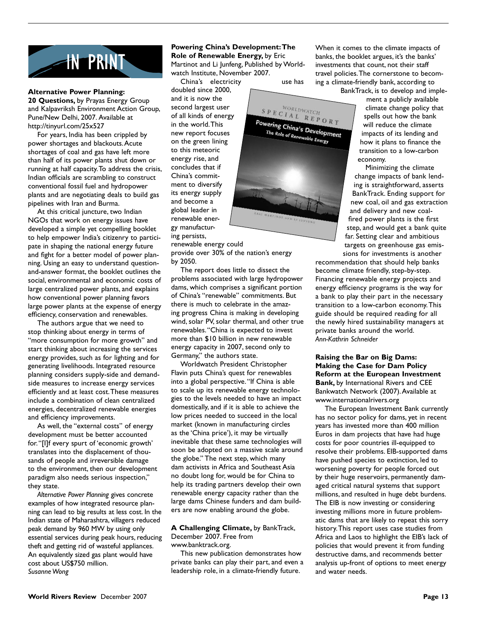

#### **Alternative Power Planning:**

**20 Questions,** by Prayas Energy Group and Kalpavriksh Environment Action Group, Pune/New Delhi, 2007. Available at http://tinyurl.com/25x527

For years, India has been crippled by power shortages and blackouts. Acute shortages of coal and gas have left more than half of its power plants shut down or running at half capacity. To address the crisis, Indian officials are scrambling to construct conventional fossil fuel and hydropower plants and are negotiating deals to build gas pipelines with Iran and Burma.

At this critical juncture, two Indian NGOs that work on energy issues have developed a simple yet compelling booklet to help empower India's citizenry to participate in shaping the national energy future and fight for a better model of power planning. Using an easy to understand questionand-answer format, the booklet outlines the social, environmental and economic costs of large centralized power plants, and explains how conventional power planning favors large power plants at the expense of energy efficiency, conservation and renewables.

The authors argue that we need to stop thinking about energy in terms of "more consumption for more growth" and start thinking about increasing the services energy provides, such as for lighting and for generating livelihoods. Integrated resource planning considers supply-side and demandside measures to increase energy services efficiently and at least cost. These measures include a combination of clean centralized energies, decentralized renewable energies and efficiency improvements.

As well, the "external costs" of energy development must be better accounted for. "[I]f every spurt of 'economic growth' translates into the displacement of thousands of people and irreversible damage to the environment, then our development paradigm also needs serious inspection," they state.

*Alternative Power Planning* gives concrete examples of how integrated resource planning can lead to big results at less cost. In the Indian state of Maharashtra, villagers reduced peak demand by 960 MW by using only essential services during peak hours, reducing theft and getting rid of wasteful appliances. An equivalently sized gas plant would have cost about US\$750 million. *Susanne Wong*

#### **Powering China's Development:The Role of Renewable Energy,** by Eric

Martinot and Li Junfeng, Published by Worldwatch Institute, November 2007.

doubled since 2000, and it is now the second largest user of all kinds of energy in the world. This new report focuses on the green lining to this meteoric energy rise, and concludes that if China's commitment to diversify its energy supply and become a global leader in renewable energy manufacturing persists,

China's electricity use has

WORLDWATCH  $\begin{array}{c}\nS \ P \ E \ C \ I \ A \ L \ \ R \ E \ P \ O \ R \ T\n\end{array}$ Powering China's Development The Role of Renewable Energy

When it comes to the climate impacts of banks, the booklet argues, it's the banks' investments that count, not their staff travel policies. The cornerstone to becoming a climate-friendly bank, according to BankTrack, is to develop and imple-

ment a publicly available climate change policy that spells out how the bank will reduce the climate impacts of its lending and how it plans to finance the transition to a low-carbon economy.

Minimizing the climate change impacts of bank lending is straightforward, asserts BankTrack. Ending support for new coal, oil and gas extraction and delivery and new coalfired power plants is the first step, and would get a bank quite far. Setting clear and ambitious targets on greenhouse gas emissions for investments is another

recommendation that should help banks become climate friendly, step-by-step. Financing renewable energy projects and energy efficiency programs is the way for a bank to play their part in the necessary transition to a low-carbon economy. This guide should be required reading for all the newly hired sustainability managers at private banks around the world. *Ann-Kathrin Schneider* 

**Raising the Bar on Big Dams: Making the Case for Dam Policy Reform at the European Investment Bank,** by International Rivers and CEE Bankwatch Network (2007). Available at www.internationalrivers.org

The European Investment Bank currently has no sector policy for dams, yet in recent years has invested more than 400 million Euros in dam projects that have had huge costs for poor countries ill-equipped to resolve their problems. EIB-supported dams have pushed species to extinction, led to worsening poverty for people forced out by their huge reservoirs, permanently damaged critical natural systems that support millions, and resulted in huge debt burdens. The EIB is now investing or considering investing millions more in future problematic dams that are likely to repeat this sorry history. This report uses case studies from Africa and Laos to highlight the EIB's lack of policies that would prevent it from funding destructive dams, and recommends better analysis up-front of options to meet energy and water needs.

renewable energy could provide over 30% of the nation's energy by 2050.

The report does little to dissect the problems associated with large hydropower dams, which comprises a significant portion of China's "renewable" commitments. But there is much to celebrate in the amazing progress China is making in developing wind, solar PV, solar thermal, and other true renewables. "China is expected to invest more than \$10 billion in new renewable energy capacity in 2007, second only to Germany," the authors state.

Worldwatch President Christopher Flavin puts China's quest for renewables into a global perspective. "If China is able to scale up its renewable energy technologies to the levels needed to have an impact domestically, and if it is able to achieve the low prices needed to succeed in the local market (known in manufacturing circles as the 'China price'), it may be virtually inevitable that these same technologies will soon be adopted on a massive scale around the globe." The next step, which many dam activists in Africa and Southeast Asia no doubt long for, would be for China to help its trading partners develop their own renewable energy capacity rather than the large dams Chinese funders and dam builders are now enabling around the globe.

#### **A Challenging Climate,** by BankTrack, December 2007. Free from www.banktrack.org.

This new publication demonstrates how private banks can play their part, and even a leadership role, in a climate-friendly future.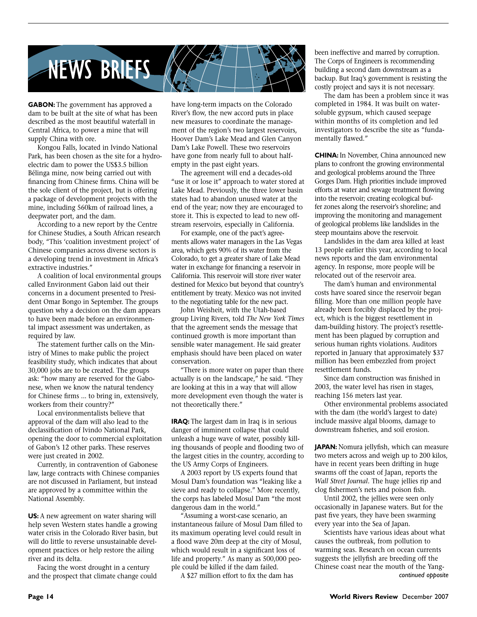

**GABON:** The government has approved a dam to be built at the site of what has been described as the most beautiful waterfall in Central Africa, to power a mine that will supply China with ore.

Kongou Falls, located in Ivindo National Park, has been chosen as the site for a hydroelectric dam to power the US\$3.5 billion Bélinga mine, now being carried out with financing from Chinese firms. China will be the sole client of the project, but is offering a package of development projects with the mine, including 560km of railroad lines, a deepwater port, and the dam.

According to a new report by the Centre for Chinese Studies, a South African research body, "This 'coalition investment project' of Chinese companies across diverse sectors is a developing trend in investment in Africa's extractive industries."

A coalition of local environmental groups called Environment Gabon laid out their concerns in a document presented to President Omar Bongo in September. The groups question why a decision on the dam appears to have been made before an environmental impact assessment was undertaken, as required by law.

The statement further calls on the Ministry of Mines to make public the project feasibility study, which indicates that about 30,000 jobs are to be created. The groups ask: "how many are reserved for the Gabonese, when we know the natural tendency for Chinese firms ... to bring in, extensively, workers from their country?"

Local environmentalists believe that approval of the dam will also lead to the declassification of Ivindo National Park, opening the door to commercial exploitation of Gabon's 12 other parks. These reserves were just created in 2002.

Currently, in contravention of Gabonese law, large contracts with Chinese companies are not discussed in Parliament, but instead are approved by a committee within the National Assembly.

**US:** A new agreement on water sharing will help seven Western states handle a growing water crisis in the Colorado River basin, but will do little to reverse unsustainable development practices or help restore the ailing river and its delta.

Facing the worst drought in a century and the prospect that climate change could have long-term impacts on the Colorado River's flow, the new accord puts in place new measures to coordinate the management of the region's two largest reservoirs, Hoover Dam's Lake Mead and Glen Canyon Dam's Lake Powell. These two reservoirs have gone from nearly full to about halfempty in the past eight years.

The agreement will end a decades-old "use it or lose it" approach to water stored at Lake Mead. Previously, the three lower basin states had to abandon unused water at the end of the year; now they are encouraged to store it. This is expected to lead to new offstream reservoirs, especially in California.

For example, one of the pact's agreements allows water managers in the Las Vegas area, which gets 90% of its water from the Colorado, to get a greater share of Lake Mead water in exchange for financing a reservoir in California. This reservoir will store river water destined for Mexico but beyond that country's entitlement by treaty. Mexico was not invited to the negotiating table for the new pact.

John Weisheit, with the Utah-based group Living Rivers, told *The New York Times*  that the agreement sends the message that continued growth is more important than sensible water management. He said greater emphasis should have been placed on water conservation.

"There is more water on paper than there actually is on the landscape," he said. "They are looking at this in a way that will allow more development even though the water is not theoretically there."

**IRAQ:** The largest dam in Iraq is in serious danger of imminent collapse that could unleash a huge wave of water, possibly killing thousands of people and flooding two of the largest cities in the country, according to the US Army Corps of Engineers.

A 2003 report by US experts found that Mosul Dam's foundation was "leaking like a sieve and ready to collapse." More recently, the corps has labeled Mosul Dam "the most dangerous dam in the world."

"Assuming a worst-case scenario, an instantaneous failure of Mosul Dam filled to its maximum operating level could result in a flood wave 20m deep at the city of Mosul, which would result in a significant loss of life and property." As many as 500,000 people could be killed if the dam failed.

been ineffective and marred by corruption. The Corps of Engineers is recommending building a second dam downstream as a backup. But Iraq's government is resisting the costly project and says it is not necessary.

The dam has been a problem since it was completed in 1984. It was built on watersoluble gypsum, which caused seepage within months of its completion and led investigators to describe the site as "fundamentally flawed."

**CHINA:** In November, China announced new plans to confront the growing environmental and geological problems around the Three Gorges Dam. High priorities include improved efforts at water and sewage treatment flowing into the reservoir; creating ecological buffer zones along the reservoir's shoreline; and improving the monitoring and management of geological problems like landslides in the steep mountains above the reservoir.

Landslides in the dam area killed at least 13 people earlier this year, according to local news reports and the dam environmental agency. In response, more people will be relocated out of the reservoir area.

The dam's human and environmental costs have soared since the reservoir began filling. More than one million people have already been forcibly displaced by the project, which is the biggest resettlement in dam-building history. The project's resettlement has been plagued by corruption and serious human rights violations. Auditors reported in January that approximately \$37 million has been embezzled from project resettlement funds.

Since dam construction was finished in 2003, the water level has risen in stages, reaching 156 meters last year.

Other environmental problems associated with the dam (the world's largest to date) include massive algal blooms, damage to downstream fisheries, and soil erosion.

**JAPAN:** Nomura jellyfish, which can measure two meters across and weigh up to 200 kilos, have in recent years been drifting in huge swarms off the coast of Japan, reports the *Wall Street Journal.* The huge jellies rip and clog fishermen's nets and poison fish.

Until 2002, the jellies were seen only occasionally in Japanese waters. But for the past five years, they have been swarming every year into the Sea of Japan.

Scientists have various ideas about what causes the outbreak, from pollution to warming seas. Research on ocean currents suggests the jellyfish are breeding off the Chinese coast near the mouth of the Yang-A \$27 million effort to fix the dam has *continued opposite*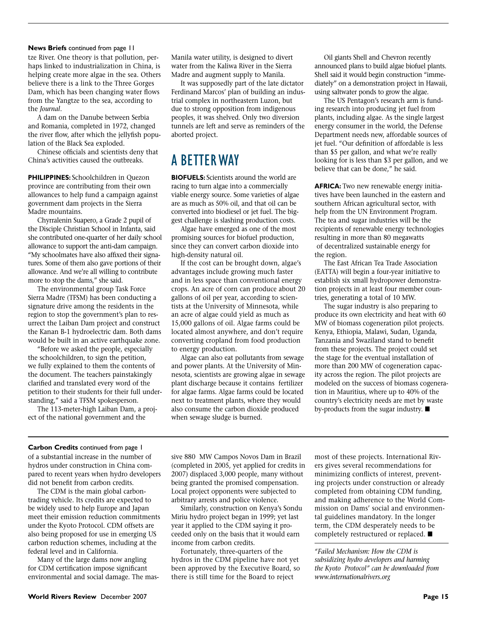#### **News Briefs** continued from page 11

tze River. One theory is that pollution, perhaps linked to industrialization in China, is helping create more algae in the sea. Others believe there is a link to the Three Gorges Dam, which has been changing water flows from the Yangtze to the sea, according to the *Journal*.

A dam on the Danube between Serbia and Romania, completed in 1972, changed the river flow, after which the jellyfish population of the Black Sea exploded.

Chinese officials and scientists deny that China's activities caused the outbreaks.

**PHILIPPINES:** Schoolchildren in Quezon province are contributing from their own allowances to help fund a campaign against government dam projects in the Sierra Madre mountains.

Chyrralenin Suapero, a Grade 2 pupil of the Disciple Christian School in Infanta, said she contributed one-quarter of her daily school allowance to support the anti-dam campaign. "My schoolmates have also affixed their signatures. Some of them also gave portions of their allowance. And we're all willing to contribute more to stop the dams," she said.

The environmental group Task Force Sierra Madre (TFSM) has been conducting a signature drive among the residents in the region to stop the government's plan to resurrect the Laiban Dam project and construct the Kanan B-1 hydroelectric dam. Both dams would be built in an active earthquake zone.

"Before we asked the people, especially the schoolchildren, to sign the petition, we fully explained to them the contents of the document. The teachers painstakingly clarified and translated every word of the petition to their students for their full understanding," said a TFSM spokesperson.

The 113-meter-high Laiban Dam, a project of the national government and the

Manila water utility, is designed to divert water from the Kaliwa River in the Sierra Madre and augment supply to Manila.

It was supposedly part of the late dictator Ferdinand Marcos' plan of building an industrial complex in northeastern Luzon, but due to strong opposition from indigenous peoples, it was shelved. Only two diversion tunnels are left and serve as reminders of the aborted project.

### A BETTER WAY

**BIOFUELS:** Scientists around the world are racing to turn algae into a commercially viable energy source. Some varieties of algae are as much as 50% oil, and that oil can be converted into biodiesel or jet fuel. The biggest challenge is slashing production costs.

Algae have emerged as one of the most promising sources for biofuel production, since they can convert carbon dioxide into high-density natural oil.

If the cost can be brought down, algae's advantages include growing much faster and in less space than conventional energy crops. An acre of corn can produce about 20 gallons of oil per year, according to scientists at the University of Minnesota, while an acre of algae could yield as much as 15,000 gallons of oil. Algae farms could be located almost anywhere, and don't require converting cropland from food production to energy production.

Algae can also eat pollutants from sewage and power plants. At the University of Minnesota, scientists are growing algae in sewage plant discharge because it contains fertilizer for algae farms. Algae farms could be located next to treatment plants, where they would also consume the carbon dioxide produced when sewage sludge is burned.

Oil giants Shell and Chevron recently announced plans to build algae biofuel plants. Shell said it would begin construction "immediately" on a demonstration project in Hawaii, using saltwater ponds to grow the algae.

The US Pentagon's research arm is funding research into producing jet fuel from plants, including algae. As the single largest energy consumer in the world, the Defense Department needs new, affordable sources of jet fuel. "Our definition of affordable is less than \$5 per gallon, and what we're really looking for is less than \$3 per gallon, and we believe that can be done," he said.

**AFRICA:** Two new renewable energy initiatives have been launched in the eastern and southern African agricultural sector, with help from the UN Environment Program. The tea and sugar industries will be the recipients of renewable energy technologies resulting in more than 80 megawatts of decentralized sustainable energy for the region.

The East African Tea Trade Association (EATTA) will begin a four-year initiative to establish six small hydropower demonstration projects in at least four member countries, generating a total of 10 MW.

The sugar industry is also preparing to produce its own electricity and heat with 60 MW of biomass cogeneration pilot projects. Kenya, Ethiopia, Malawi, Sudan, Uganda, Tanzania and Swaziland stand to benefit from these projects. The project could set the stage for the eventual installation of more than 200 MW of cogeneration capacity across the region. The pilot projects are modeled on the success of biomass cogeneration in Mauritius, where up to 40% of the country's electricity needs are met by waste by-products from the sugar industry.  $\blacksquare$ 

#### **Carbon Credits** continued from page 1

of a substantial increase in the number of hydros under construction in China compared to recent years when hydro developers did not benefit from carbon credits.

The CDM is the main global carbontrading vehicle. Its credits are expected to be widely used to help Europe and Japan meet their emission reduction commitments under the Kyoto Protocol. CDM offsets are also being proposed for use in emerging US carbon reduction schemes, including at the federal level and in California.

Many of the large dams now angling for CDM certification impose significant environmental and social damage. The mas-

sive 880 MW Campos Novos Dam in Brazil (completed in 2005, yet applied for credits in 2007) displaced 3,000 people, many without being granted the promised compensation. Local project opponents were subjected to arbitrary arrests and police violence.

Similarly, construction on Kenya's Sondu Miriu hydro project began in 1999; yet last year it applied to the CDM saying it proceeded only on the basis that it would earn income from carbon credits.

Fortunately, three-quarters of the hydros in the CDM pipeline have not yet been approved by the Executive Board, so there is still time for the Board to reject

most of these projects. International Rivers gives several recommendations for minimizing conflicts of interest, preventing projects under construction or already completed from obtaining CDM funding, and making adherence to the World Commission on Dams' social and environmental guidelines mandatory. In the longer term, the CDM desperately needs to be completely restructured or replaced.  $\blacksquare$ 

*"Failed Mechanism: How the CDM is subsidizing hydro developers and harming the Kyoto Protocol" can be downloaded from www.internationalrivers.org*